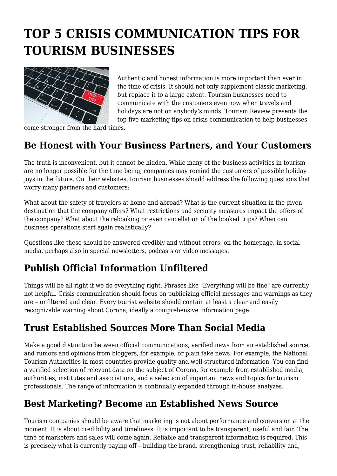# **TOP 5 CRISIS COMMUNICATION TIPS FOR TOURISM BUSINESSES**



Authentic and honest information is more important than ever in the time of crisis. It should not only supplement classic marketing, but replace it to a large extent. Tourism businesses need to communicate with the customers even now when travels and holidays are not on anybody's minds. Tourism Review presents the top five marketing tips on crisis communication to help businesses

come stronger from the hard times.

#### **Be Honest with Your Business Partners, and Your Customers**

The truth is inconvenient, but it cannot be hidden. While many of the business activities in tourism are no longer possible for the time being, companies may remind the customers of possible holiday joys in the future. On their websites, tourism businesses should address the following questions that worry many partners and customers:

What about the safety of travelers at home and abroad? What is the current situation in the given destination that the company offers? What restrictions and security measures impact the offers of the company? What about the rebooking or even cancellation of the booked trips? When can business operations start again realistically?

Questions like these should be answered credibly and without errors: on the homepage, in social media, perhaps also in special newsletters, podcasts or video messages.

## **Publish Official Information Unfiltered**

Things will be all right if we do everything right. Phrases like "Everything will be fine" are currently not helpful. Crisis communication should focus on publicizing official messages and warnings as they are – unfiltered and clear. Every tourist website should contain at least a clear and easily recognizable warning about Corona, ideally a comprehensive information page.

## **Trust Established Sources More Than Social Media**

Make a good distinction between official communications, verified news from an established source, and rumors and opinions from bloggers, for example, or plain fake news. For example, the National Tourism Authorities in most countries provide quality and well-structured information. You can find a verified selection of relevant data on the subject of Corona, for example from established media, authorities, institutes and associations, and a selection of important news and topics for tourism professionals. The range of information is continually expanded through in-house analyzes.

## **Best Marketing? Become an Established News Source**

Tourism companies should be aware that marketing is not about performance and conversion at the moment. It is about credibility and timeliness. It is important to be transparent, useful and fair. The time of marketers and sales will come again. Reliable and transparent information is required. This is precisely what is currently paying off – building the brand, strengthening trust, reliability and,